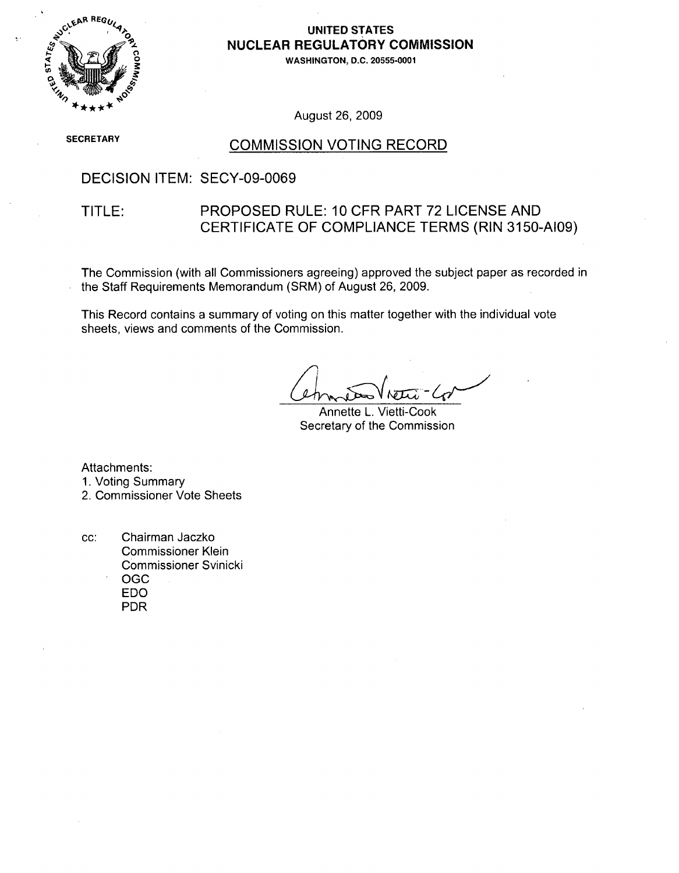

#### **UNITED STATES** NUCLEAR REGULATORY COMMISSION

**WASHINGTON, D.C. 20555-0001**

August 26, 2009

**SECRETARY** 

#### COMMISSION VOTING RECORD

#### DECISION ITEM: SECY-09-0069

#### TITLE: PROPOSED RULE: 10 CFR PART 72 LICENSE AND CERTIFICATE OF COMPLIANCE TERMS (RIN 3150-AI09)

The Commission (with all Commissioners agreeing) approved the subject paper as recorded in the Staff Requirements Memorandum (SRM) of August 26, 2009.

This Record contains a summary of voting on this matter together with the individual vote sheets, views and comments of the Commission.

Annette L. Vietti-Cook Secretary of the Commission

Attachments:

1. Voting Summary

2. Commissioner Vote Sheets

cc: Chairman Jaczko Commissioner Klein Commissioner Svinicki OGC EDO PDR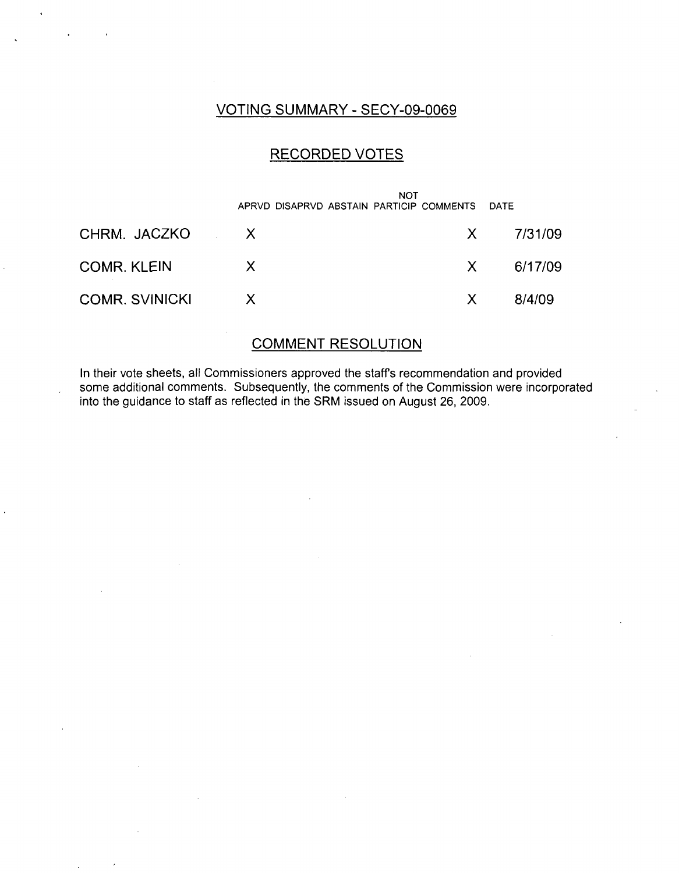### VOTING SUMMARY - SECY-09-0069

## RECORDED VOTES

|                       | <b>NOT</b><br>APRVD DISAPRVD ABSTAIN PARTICIP COMMENTS DATE |    |               |
|-----------------------|-------------------------------------------------------------|----|---------------|
| CHRM. JACZKO X        |                                                             |    | X 7/31/09     |
| <b>COMR. KLEIN</b>    | $\mathsf{X}$                                                |    | $X = 6/17/09$ |
| <b>COMR. SVINICKI</b> | $\chi$                                                      | X. | 8/4/09        |

### COMMENT RESOLUTION

In their vote sheets, all Commissioners approved the staffs recommendation and provided some additional comments. Subsequently, the comments of the Commission were incorporated into the guidance to staff as reflected in the SRM issued on August 26, 2009.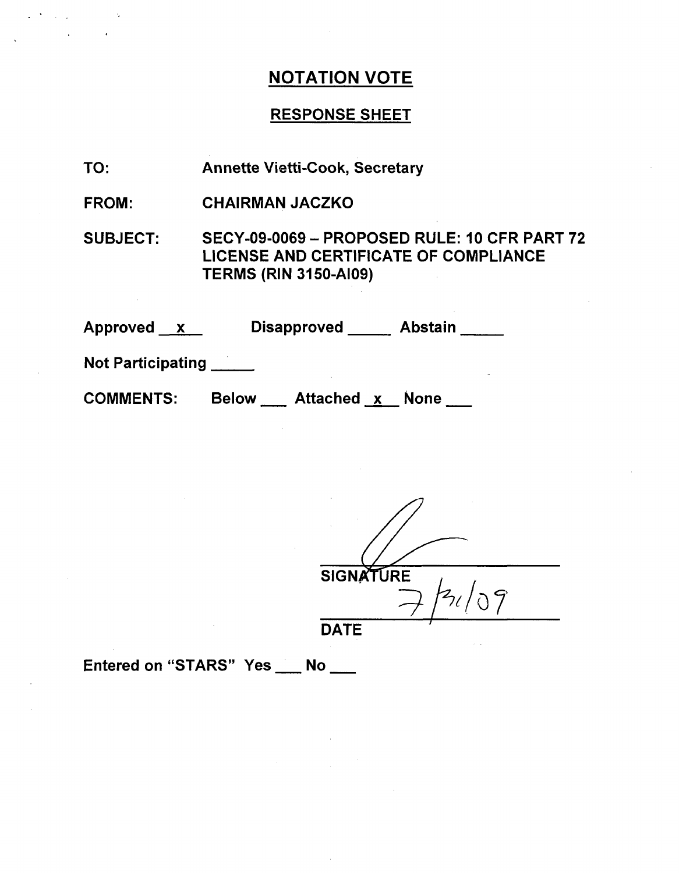# NOTATION VOTE

### RESPONSE SHEET

| TO: | <b>Annette Vietti-Cook, Secretary</b> |  |
|-----|---------------------------------------|--|
|-----|---------------------------------------|--|

FROM: CHAIRMAN JACZKO

SUBJECT: SECY-09-0069 - PROPOSED RULE: 10 CFR PART 72 LICENSE AND CERTIFICATE OF COMPLIANCE TERMS (RIN 3150-AI09)

| Approved x |  | <b>Disapproved</b> | <b>Abstain</b> |
|------------|--|--------------------|----------------|
|------------|--|--------------------|----------------|

Not Participating

**COMMENTS:** Below Attached x None

**SIGNATURE** 

**DATE**

Entered on "STARS" Yes \_\_ No \_\_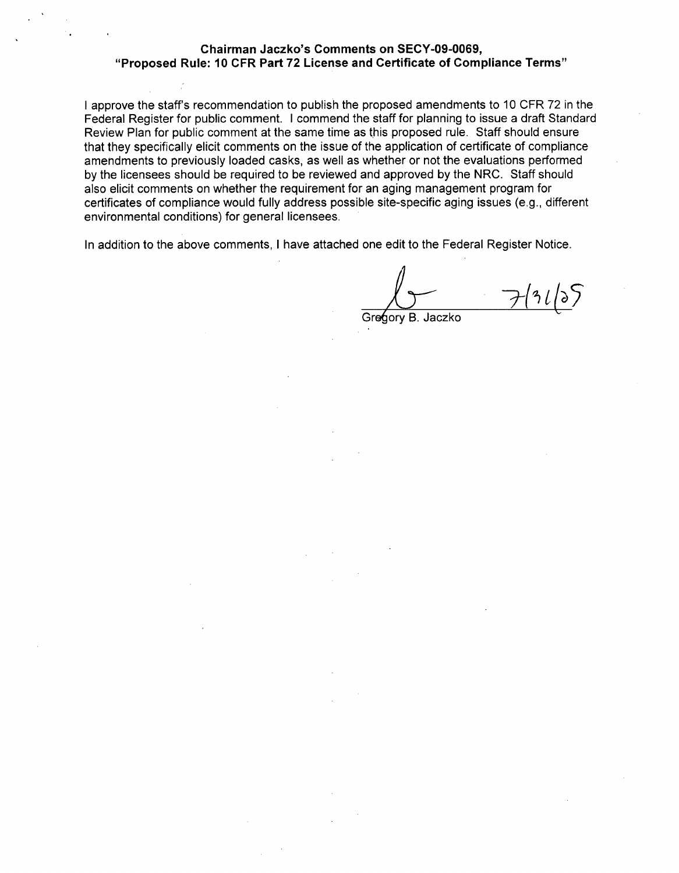#### Chairman Jaczko's Comments on **SECY-09-0069,** "Proposed Rule: **10** CFR Part **72** License and Certificate of Compliance Terms"

I approve the staff's recommendation to publish the proposed amendments to 10 CFR 72 in the Federal Register for public comment. I commend the staff for planning to issue a draft Standard Review Plan for public comment at the same time as this proposed rule. Staff should ensure that they specifically elicit comments on the issue of the application of certificate of compliance amendments to previously loaded casks, as well as whether or not the evaluations performed by the licensees should be required to be reviewed and approved by the NRC. Staff should also elicit comments on whether the requirement for an aging management program for certificates of compliance would fully address possible site-specific aging issues (e.g., different environmental conditions) for general licensees.

In addition to the above comments, I have attached one edit to the Federal Register Notice.

Gregory B. Jaczko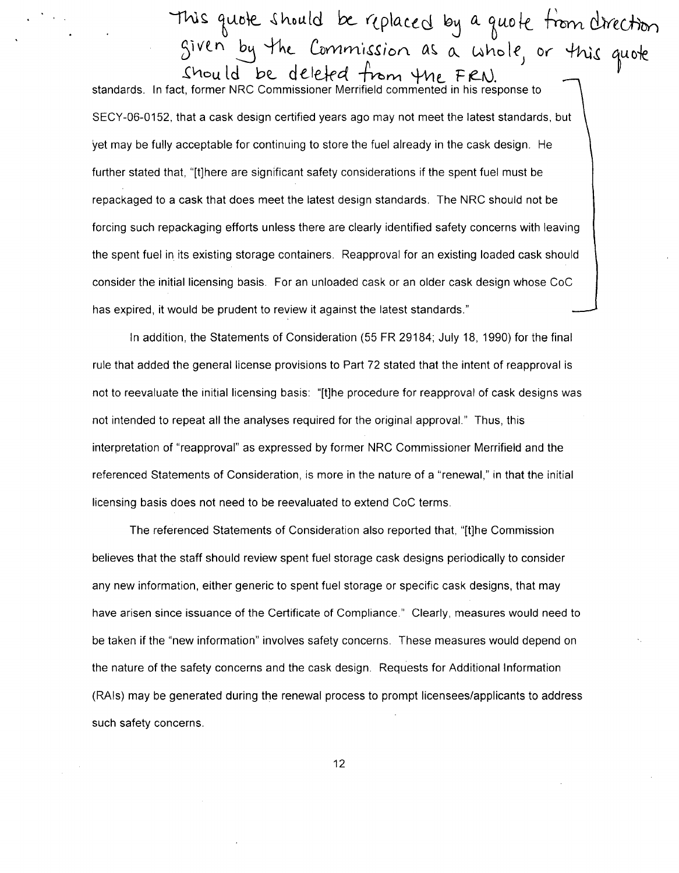**-% "** oýe ýýto **a Id** bc-Y- **(p Io** a **c b** *6L* **&** Lut **o c ýýc** dye &k-.  $Siven$  by the Commission as a whole, or this quote Should be deleted from the FRN.

standards. In fact, former NRC Commissioner Merrifield commented in his response to SECY-06-0152, that a cask design certified years ago may not meet the latest standards, but yet may be fully acceptable for continuing to store the fuel already in the cask design. He further stated that, "[t]here are significant safety considerations if the spent fuel must be repackaged to a cask that does meet the latest design standards. The NRC should not be forcing such repackaging efforts unless there are clearly identified safety concerns with leaving the spent fuel in its existing storage containers. Reapproval for an existing loaded cask should consider the initial licensing basis. For an unloaded cask or an older cask design whose CoC has expired, it would be prudent to review it against the latest standards."

In addition, the Statements of Consideration (55 FR 29184; July 18, 1990) for the final rule that added the general license provisions to Part 72 stated that the intent of reapproval is not to reevaluate the initial licensing basis: "[t]he procedure for reapproval of cask designs was not intended to repeat all the analyses required for the original approval." Thus, this interpretation of "reapproval" as expressed by former NRC Commissioner Merrifield and the referenced Statements of Consideration, is more in the nature of a "renewal," in that the initial licensing basis does not need to be reevaluated to extend CoC terms.

The referenced Statements of Consideration also reported that, "[t]he Commission believes that the staff should review spent fuel storage cask designs periodically to consider any new information, either generic to spent fuel storage or specific cask designs, that may have arisen since issuance of the Certificate of Compliance." Clearly, measures would need to be taken if the "new information" involves safety concerns. These measures would depend on the nature of the safety concerns and the cask design. Requests for Additional Information (RAIs) may be generated during the renewal process to prompt licensees/applicants to address such safety concerns.

12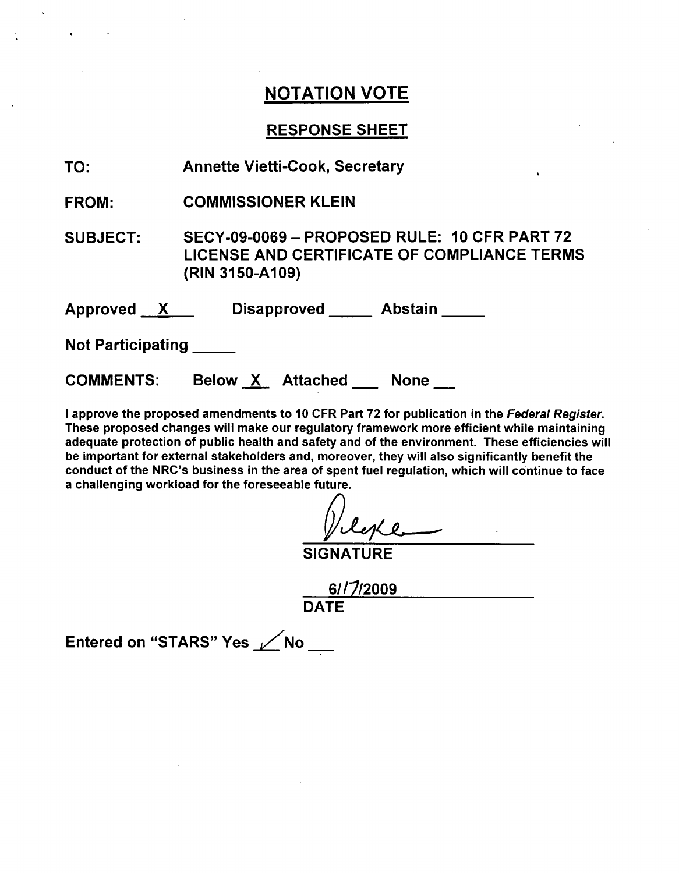## NOTATION VOTE

#### RESPONSE SHEET

TO: Annette Vietti-Cook, Secretary

FROM: COMMISSIONER KLEIN

SUBJECT: SECY-09-0069 - PROPOSED RULE: 10 CFR PART 72 LICENSE AND CERTIFICATE OF COMPLIANCE TERMS (RIN 3150-A109)

Approved X Disapproved Abstain

Not Participating

COMMENTS: Below X Attached None

I approve the proposed amendments to 10 CFR Part 72 for publication in the *Federal Register.* These proposed changes will make our regulatory framework more efficient while maintaining adequate protection of public health and safety and of the environment. These efficiencies will be important for external stakeholders and, moreover, they will also significantly benefit the conduct of the NRC's business in the area of spent fuel regulation, which will continue to face a challenging workload for the foreseeable future.

leke

**SIGNATURE** 

6//1/2009 DATE

Entered on "STARS" Yes **ZANO**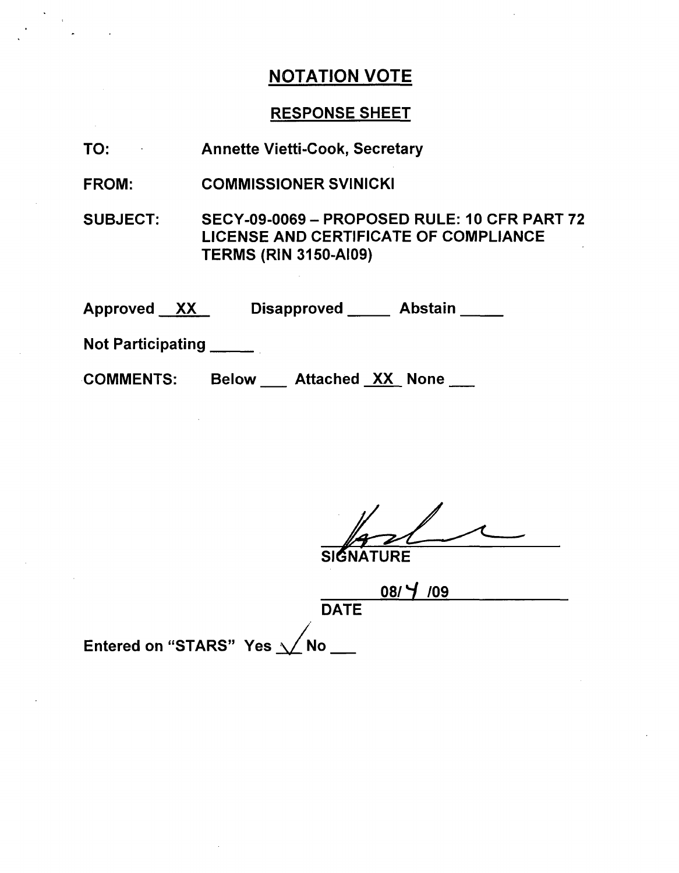## NOTATION VOTE

#### RESPONSE SHEET

TO: Annette Vietti-Cook, Secretary

FROM: COMMISSIONER SVINICKI

SUBJECT: SECY-09-0069 - PROPOSED RULE: 10 CFR PART 72 LICENSE AND CERTIFICATE OF COMPLIANCE TERMS (RIN 3150-AI09)

Approved XX Disapproved Abstair

Not Participating **\_**

.COMMENTS: Below Attached XX None

SI**G**NATURE

08/V **/09 DATE** 

Entered on "STARS" Yes  $\sqrt{}$ No \_\_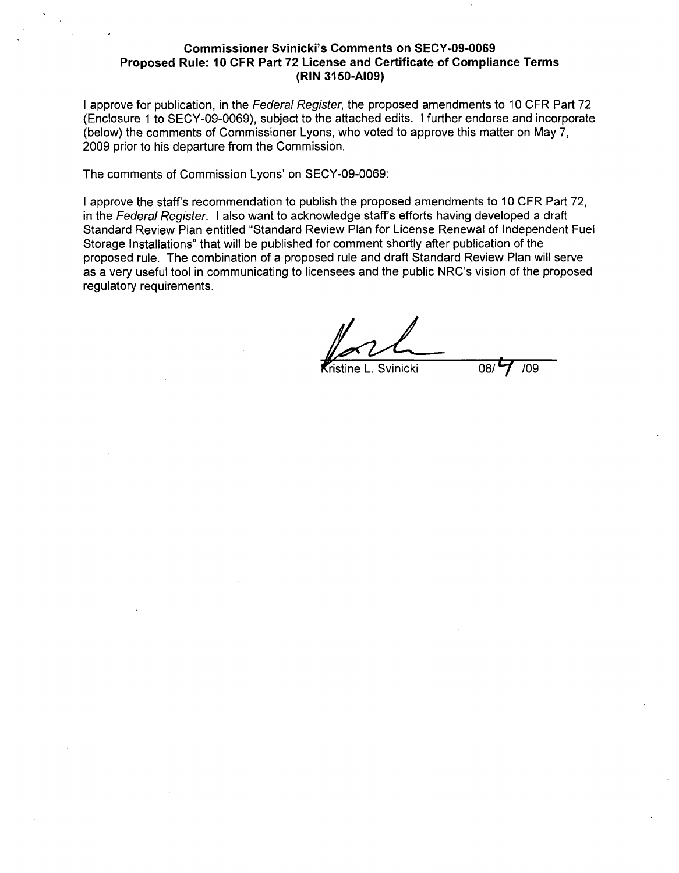#### Commissioner Svinicki's Comments on **SECY-09-0069** Proposed Rule: **10** CFR Part **72** License and Certificate of Compliance Terms (RIN **3150-AI09)**

I approve for publication, in the *Federal Register,* the proposed amendments to 10 CFR Part 72 (Enclosure **1** to SECY-09-0069), subject to the attached edits. I further endorse and incorporate (below) the comments of Commissioner Lyons, who voted to approve this matter on May 7, 2009 prior to his departure from the Commission.

The comments of Commission Lyons' on SECY-09-0069:

I approve the staff's recommendation to publish the proposed amendments to 10 CFR Part **72,** in the *Federal Register.* I also want to acknowledge staff's efforts having developed a draft Standard Review Plan entitled "Standard Review Plan for License Renewal of Independent Fuel Storage Installations" that will be published for comment shortly after publication of the proposed rule. The combination of a proposed rule and draft Standard Review Plan will serve as a very useful tool in communicating to licensees and the public NRC's vision of the proposed regulatory requirements.

**Svinicki** 08/ 7 /09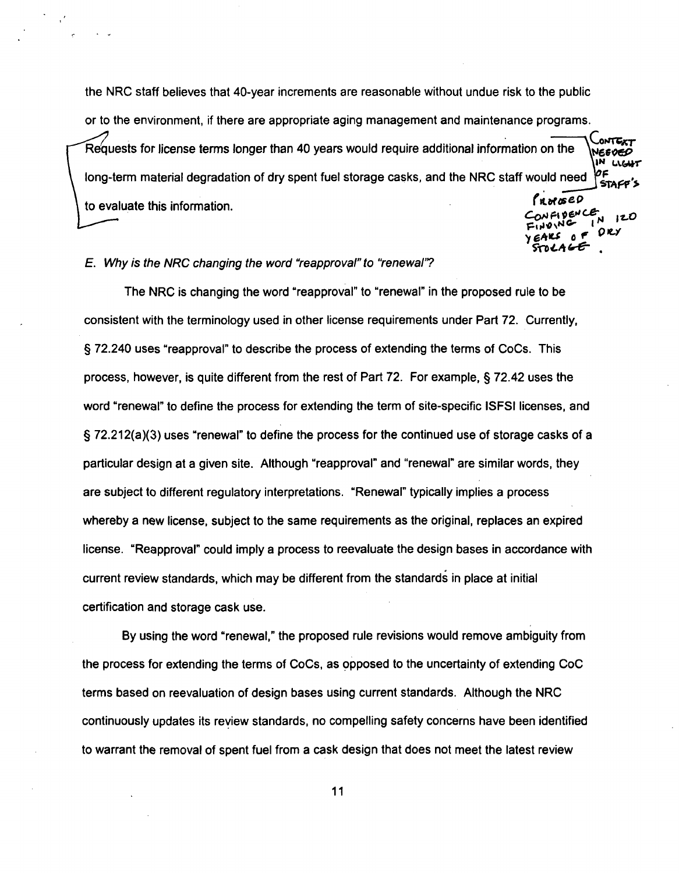the NRC staff believes that 40-year increments are reasonable without undue risk to the public or to the environment, if there are appropriate aging management and maintenance programs. Requests for license terms longer than 40 years would require additional information on the **IN** LV(A long-term material degradation of dry spent fuel storage casks, and the NRC staff would need PROBED to evaluate this information.

> $T_{\text{r,10}} \times 10^{-1}$  $644500$

#### *E. Why is the NRC changing the word "reapproval" to "renewal'?*

The NRC is changing the word "reapproval" to "renewal" in the proposed rule to be consistent with the terminology used in other license requirements under Part 72. Currently, § 72.240 uses "reapproval" to describe the process of extending the terms of CoCs. This process, however, is quite different from the rest of Part 72. For example, § 72.42 uses the word "renewal" to define the process for extending the term of site-specific ISFSI licenses, and § 72.212(a)(3) uses "renewal" to define the process for the continued use of storage casks of a particular design at a given site. Although "reapproval" and "renewal" are similar words, they are subject to different regulatory interpretations. "Renewal" typically implies a process whereby a new license, subject to the same requirements as the original, replaces an expired license. "Reapproval" could imply a process to reevaluate the design bases in accordance with current review standards, which may be different from the standards in place at initial certification and storage cask use.

By using the word "renewal," the proposed rule revisions would remove ambiguity from the process for extending the terms of CoCs, as opposed to the uncertainty of extending CoC terms based on reevaluation of design bases using current standards. Although the NRC continuously updates its review standards, no compelling safety concerns have been identified to warrant the removal of spent fuel from a cask design that does not meet the latest review

11